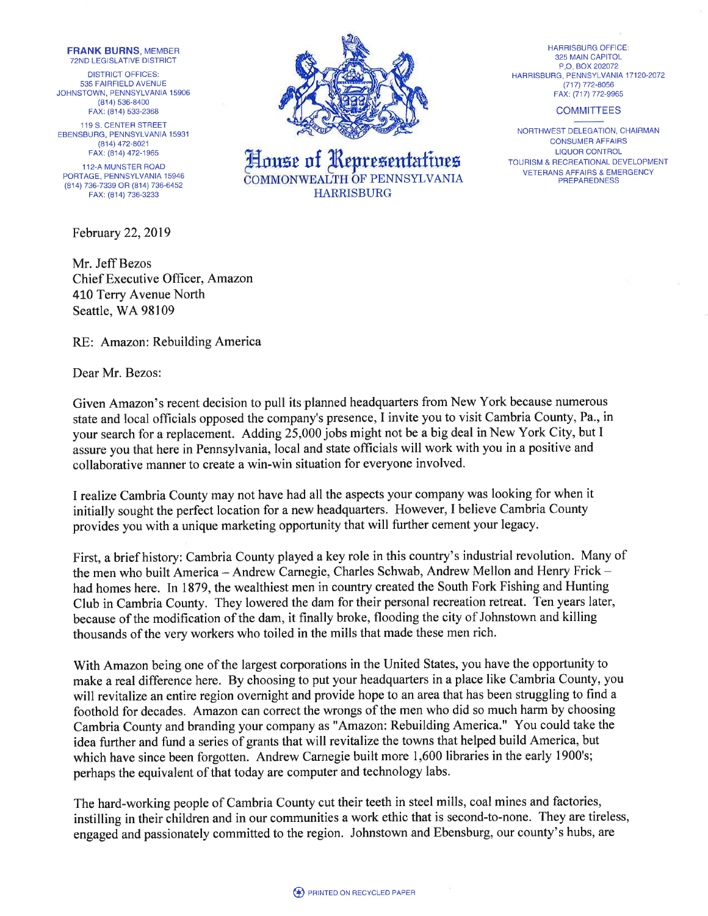FRANK BURNS, MEMBER **72ND LEGISLATIVE DISTRICT** 

DISTRICT OFFICES: 535 FAIRFIELD AVENUE JOHNSTOWN, PENNSYLVANIA 15906 (814) 536-8400 FAX: (81a) 533-2368

119 S. CENTER STREET EBENSBURG, PENNSYLVANIA 15931 (814\ 472-8021 FAX: (814) 472-1965

.I12-A MUNSTER ROAD PORTAGE, PENNSYLVANIA 15946 (814) 736-7339 OB (814) 736-6452 FAX: (814) 736-3233

February 22,2019

Mr. Jeff Bezos Chief Executive Ofhcer, Amazon 410 Terry Avenue North Seattle, WA 98109

RE: Amazon: Rebuilding America

Dear Mr. Bezos:

Given Amazon's recent decision to pull its planned headquarters from New York because numerous state and local officials opposed the company's presence, I invite you to visit Cambria County, Pa., in your search for a replacement. Adding 25,000 jobs might not be a big deal in New York City, but I assure you that here in Pennsylvania, local and state officials will work with you in a positive and collaborative manner to create a win-win situation for everyone involved.

I realize Cambria County may not have had all the aspects your company was looking for when it initially sought the perfect location for a new headquarters. However, I believe Cambria County provides you with a unique marketing opportunity that will further cement your legacy.

First, a brief history: Cambria County played a key role in this country's industrial revolution. Many of the men who built America - Andrew Carnegie, Charles Schwab, Andrew Mellon and Henry Frick had homes here. In 1879, the wealthiest men in country created the South Fork Fishing and Hunting Club in Cambria County. They lowered the dam for their personal recreation retreat. Ten years later, because of the modification of the dam, it finally broke, flooding the city of Johnstown and killing thousands of the very workers who toiled in the mills that made these men rich.

With Amazon being one of the largest corporations in the United States, you have the opportunity to make a real difference here. By choosing to put your headquarters in a place like Cambria County, you will revitalize an entire region overnight and provide hope to an area that has been struggling to find a foothold for decades. Amazon can correct the wrongs of the men who did so much harm by choosing Cambria County and branding your company as "Amazon: Rebuilding America." You could take the idea further and fund a series of grants that will revitalize the towns that helped build America, but which have since been forgotten. Andrew Carnegie built more 1,600 libraries in the early 1900's; perhaps the equivalent of that today are computer and technology labs.

The hard-working people of Cambria County cut their teeth in steel mills, coal mines and factories, instilling in their children and in our communities a work ethic that is second-to-none. They are tireless, engaged and passionately committed to the region. Johnstown and Ebensburg, our county's hubs, are



House of Representatives COMMONWEALTH OF PENNSYLVANIA

HARBISBURG OFFICE: 325 MAIN CAPITOL P.O.BOX202072 HARBISBURG, PENNSYLVANIA 17 12O-2O72 (717) 772-8056 FAX: (717) 772-9965

## **COMMITTEES**

NORTHWEST DELEGATION, CHAIRMAN CONSUMER AFFAIRS LIQUOR CONTROL TOURISM & RECREATIONAL DEVELOPMENT VETERANS AFFAIRS & EMERGENCY PREPAREDNESS



HARRISBURG